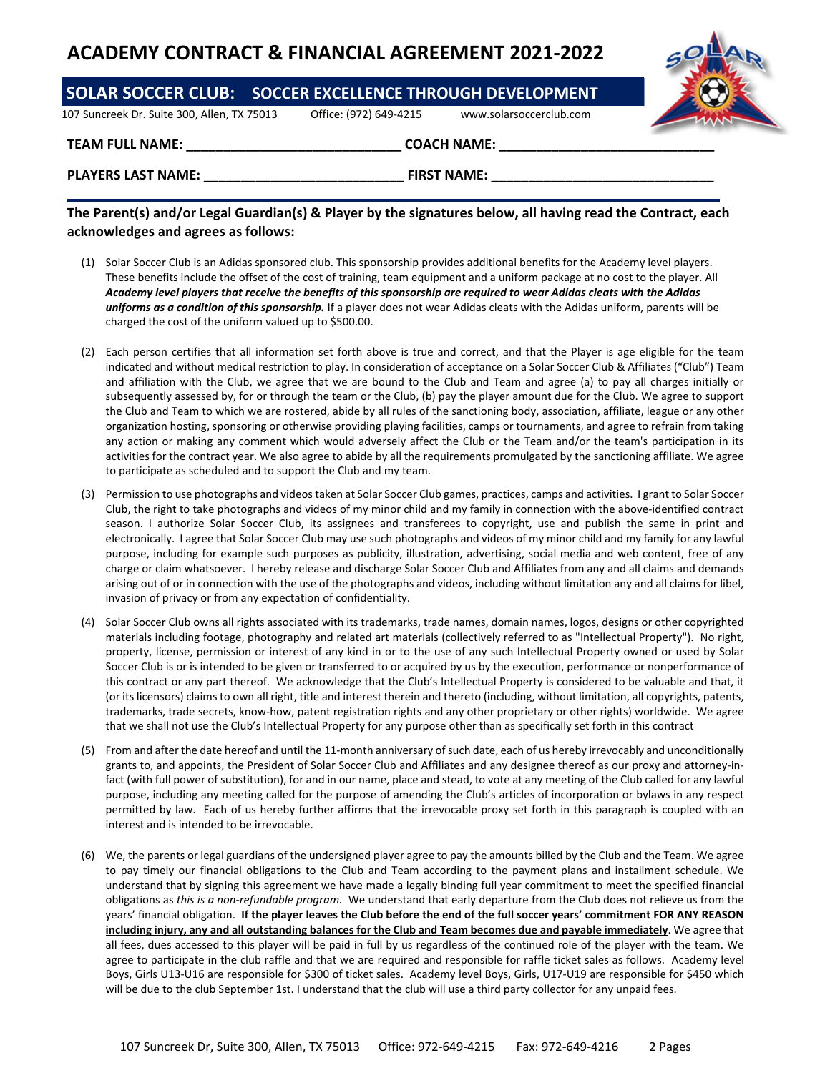## **ACADEMY CONTRACT & FINANCIAL AGREEMENT 2021‐2022**

| <b>SOLAR SOCCER CLUB: SOCCER EXCELLENCE THROUGH DEVELOPMENT</b> |                        |                         |  |
|-----------------------------------------------------------------|------------------------|-------------------------|--|
| 107 Suncreek Dr. Suite 300, Allen, TX 75013                     | Office: (972) 649-4215 | www.solarsoccerclub.com |  |
| <b>TEAM FULL NAME:</b>                                          |                        | <b>COACH NAME:</b>      |  |
| <b>PLAYERS LAST NAME:</b>                                       |                        | <b>FIRST NAME:</b>      |  |

## The Parent(s) and/or Legal Guardian(s) & Player by the signatures below, all having read the Contract, each **acknowledges and agrees as follows:**

- (1) Solar Soccer Club is an Adidas sponsored club. This sponsorship provides additional benefits for the Academy level players. These benefits include the offset of the cost of training, team equipment and a uniform package at no cost to the player. All Academy level players that receive the benefits of this sponsorship are required to wear Adidas cleats with the Adidas *uniforms as a condition of this sponsorship.* If a player does not wear Adidas cleats with the Adidas uniform, parents will be charged the cost of the uniform valued up to \$500.00.
- (2) Each person certifies that all information set forth above is true and correct, and that the Player is age eligible for the team indicated and without medical restriction to play. In consideration of acceptance on a Solar Soccer Club & Affiliates ("Club") Team and affiliation with the Club, we agree that we are bound to the Club and Team and agree (a) to pay all charges initially or subsequently assessed by, for or through the team or the Club, (b) pay the player amount due for the Club. We agree to support the Club and Team to which we are rostered, abide by all rules of the sanctioning body, association, affiliate, league or any other organization hosting, sponsoring or otherwise providing playing facilities, camps or tournaments, and agree to refrain from taking any action or making any comment which would adversely affect the Club or the Team and/or the team's participation in its activities for the contract year. We also agree to abide by all the requirements promulgated by the sanctioning affiliate. We agree to participate as scheduled and to support the Club and my team.
- (3) Permission to use photographs and videostaken at Solar Soccer Club games, practices, camps and activities. I grant to Solar Soccer Club, the right to take photographs and videos of my minor child and my family in connection with the above‐identified contract season. I authorize Solar Soccer Club, its assignees and transferees to copyright, use and publish the same in print and electronically. I agree that Solar Soccer Club may use such photographs and videos of my minor child and my family for any lawful purpose, including for example such purposes as publicity, illustration, advertising, social media and web content, free of any charge or claim whatsoever. I hereby release and discharge Solar Soccer Club and Affiliates from any and all claims and demands arising out of or in connection with the use of the photographs and videos, including without limitation any and all claims for libel, invasion of privacy or from any expectation of confidentiality.
- (4) Solar Soccer Club owns all rights associated with its trademarks, trade names, domain names, logos, designs or other copyrighted materials including footage, photography and related art materials (collectively referred to as "Intellectual Property"). No right, property, license, permission or interest of any kind in or to the use of any such Intellectual Property owned or used by Solar Soccer Club is or is intended to be given or transferred to or acquired by us by the execution, performance or nonperformance of this contract or any part thereof. We acknowledge that the Club's Intellectual Property is considered to be valuable and that, it (or its licensors) claims to own all right, title and interest therein and thereto (including, without limitation, all copyrights, patents, trademarks, trade secrets, know‐how, patent registration rights and any other proprietary or other rights) worldwide. We agree that we shall not use the Club's Intellectual Property for any purpose other than as specifically set forth in this contract
- (5) From and after the date hereof and until the 11‐month anniversary ofsuch date, each of us hereby irrevocably and unconditionally grants to, and appoints, the President of Solar Soccer Club and Affiliates and any designee thereof as our proxy and attorney-infact (with full power of substitution), for and in our name, place and stead, to vote at any meeting of the Club called for any lawful purpose, including any meeting called for the purpose of amending the Club's articles of incorporation or bylaws in any respect permitted by law. Each of us hereby further affirms that the irrevocable proxy set forth in this paragraph is coupled with an interest and is intended to be irrevocable.
- (6) We, the parents or legal guardians of the undersigned player agree to pay the amounts billed by the Club and the Team. We agree to pay timely our financial obligations to the Club and Team according to the payment plans and installment schedule. We understand that by signing this agreement we have made a legally binding full year commitment to meet the specified financial obligations as *this is a non‐refundable program.* We understand that early departure from the Club does not relieve us from the years' financial obligation. If the player leaves the Club before the end of the full soccer years' commitment FOR ANY REASON including injury, any and all outstanding balances for the Club and Team becomes due and payable immediately. We agree that all fees, dues accessed to this player will be paid in full by us regardless of the continued role of the player with the team. We agree to participate in the club raffle and that we are required and responsible for raffle ticket sales as follows. Academy level Boys, Girls U13‐U16 are responsible for \$300 of ticket sales. Academy level Boys, Girls, U17‐U19 are responsible for \$450 which will be due to the club September 1st. I understand that the club will use a third party collector for any unpaid fees.